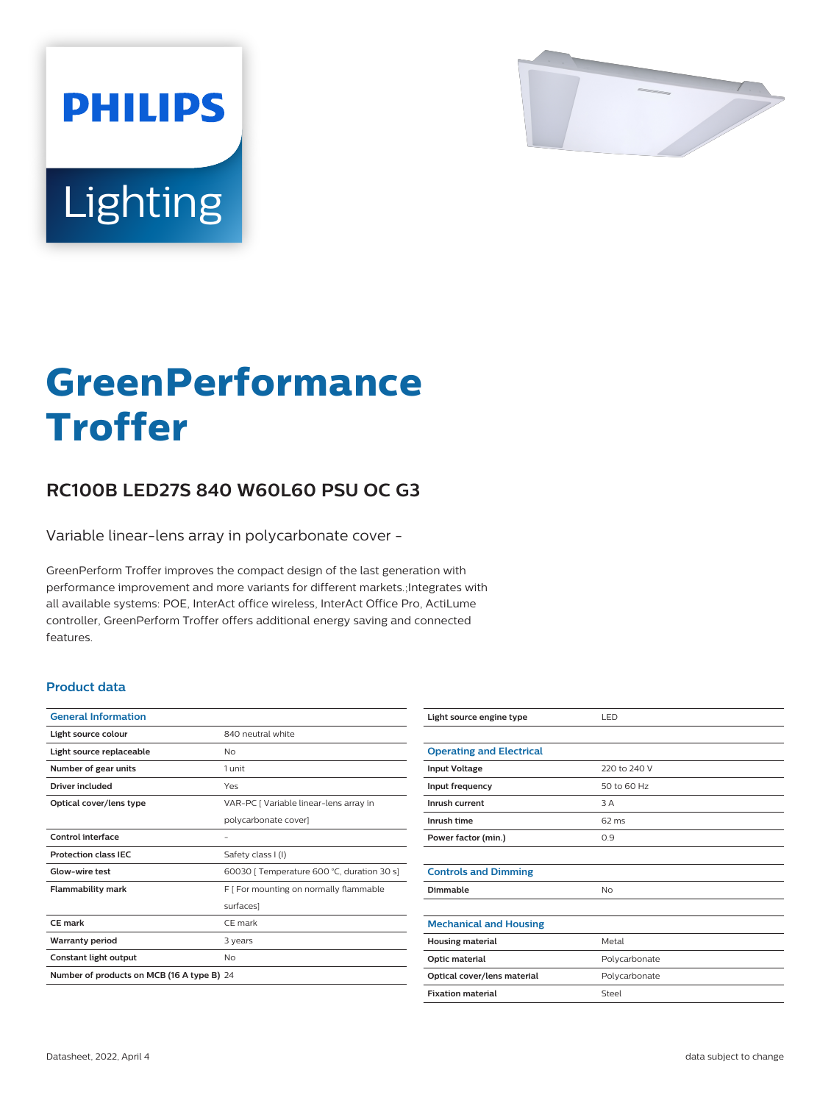

# Lighting

**PHILIPS** 

# **GreenPerformance Troffer**

## **RC100B LED27S 840 W60L60 PSU OC G3**

Variable linear-lens array in polycarbonate cover -

GreenPerform Troffer improves the compact design of the last generation with performance improvement and more variants for different markets.;Integrates with all available systems: POE, InterAct office wireless, InterAct Office Pro, ActiLume controller, GreenPerform Troffer offers additional energy saving and connected features.

#### **Product data**

| <b>General Information</b>                 |                                            |
|--------------------------------------------|--------------------------------------------|
| Light source colour                        | 840 neutral white                          |
| Light source replaceable                   | Nο                                         |
| Number of gear units                       | 1 unit                                     |
| Driver included                            | Yes                                        |
| Optical cover/lens type                    | VAR-PC   Variable linear-lens array in     |
|                                            | polycarbonate cover]                       |
| <b>Control interface</b>                   |                                            |
| <b>Protection class IEC</b>                | Safety class I (I)                         |
| Glow-wire test                             | 60030   Temperature 600 °C, duration 30 s] |
| <b>Flammability mark</b>                   | F   For mounting on normally flammable     |
|                                            | surfaces]                                  |
| CF mark                                    | CF mark                                    |
| <b>Warranty period</b>                     | 3 years                                    |
| Constant light output                      | No                                         |
| Number of products on MCB (16 A type B) 24 |                                            |

| Light source engine type        | LED             |
|---------------------------------|-----------------|
|                                 |                 |
| <b>Operating and Electrical</b> |                 |
| <b>Input Voltage</b>            | 220 to 240 V    |
| Input frequency                 | 50 to 60 Hz     |
| Inrush current                  | 3 A             |
| Inrush time                     | $62 \text{ ms}$ |
| Power factor (min.)             | 0.9             |
|                                 |                 |
| <b>Controls and Dimming</b>     |                 |
| Dimmable                        | No              |
|                                 |                 |
| <b>Mechanical and Housing</b>   |                 |
| <b>Housing material</b>         | Metal           |
| Optic material                  | Polycarbonate   |
| Optical cover/lens material     | Polycarbonate   |
| <b>Fixation material</b>        | Steel           |
|                                 |                 |